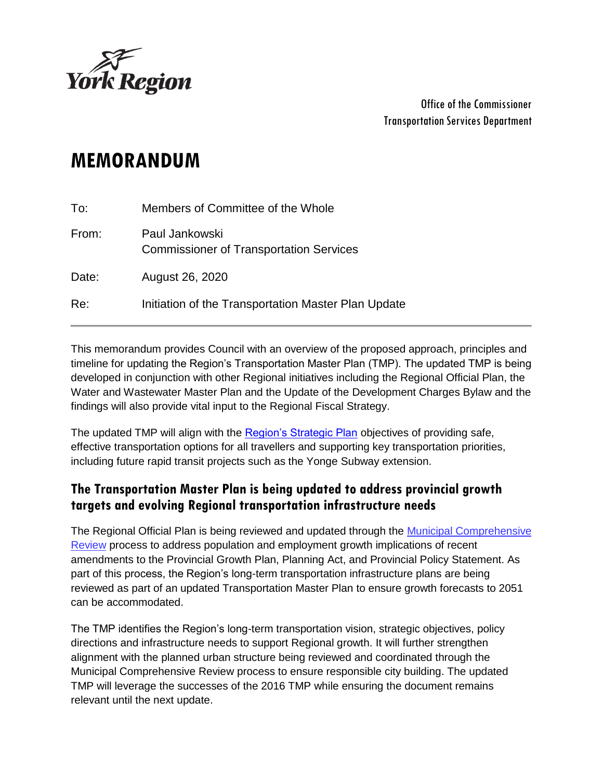

Office of the Commissioner Transportation Services Department

# **MEMORANDUM**

| To:   | Members of Committee of the Whole                                |
|-------|------------------------------------------------------------------|
| From: | Paul Jankowski<br><b>Commissioner of Transportation Services</b> |
| Date: | August 26, 2020                                                  |
| Re:   | Initiation of the Transportation Master Plan Update              |

This memorandum provides Council with an overview of the proposed approach, principles and timeline for updating the Region's Transportation Master Plan (TMP). The updated TMP is being developed in conjunction with other Regional initiatives including the Regional Official Plan, the Water and Wastewater Master Plan and the Update of the Development Charges Bylaw and the findings will also provide vital input to the Regional Fiscal Strategy.

The updated TMP will align with the [Region's Strategic Plan](https://www.york.ca/wps/wcm/connect/yorkpublic/e9612765-7323-40bf-904c-715cd0c21d6b/18453_CorporateStrategicPlan-Approved.pdf?MOD=AJPERES) objectives of providing safe, effective transportation options for all travellers and supporting key transportation priorities, including future rapid transit projects such as the Yonge Subway extension.

#### **The Transportation Master Plan is being updated to address provincial growth targets and evolving Regional transportation infrastructure needs**

The Regional Official Plan is being reviewed and updated through the Municipal Comprehensive [Review](https://www.york.ca/wps/portal/yorkhome/yorkregion/yr/municipalcomprehensivereview) process to address population and employment growth implications of recent amendments to the Provincial Growth Plan, Planning Act, and Provincial Policy Statement. As part of this process, the Region's long-term transportation infrastructure plans are being reviewed as part of an updated Transportation Master Plan to ensure growth forecasts to 2051 can be accommodated.

The TMP identifies the Region's long-term transportation vision, strategic objectives, policy directions and infrastructure needs to support Regional growth. It will further strengthen alignment with the planned urban structure being reviewed and coordinated through the Municipal Comprehensive Review process to ensure responsible city building. The updated TMP will leverage the successes of the 2016 TMP while ensuring the document remains relevant until the next update.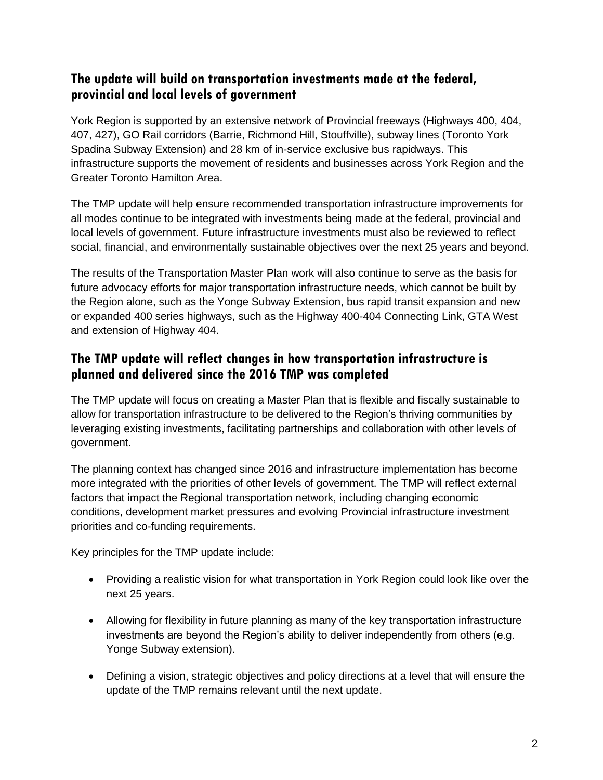#### **The update will build on transportation investments made at the federal, provincial and local levels of government**

York Region is supported by an extensive network of Provincial freeways (Highways 400, 404, 407, 427), GO Rail corridors (Barrie, Richmond Hill, Stouffville), subway lines (Toronto York Spadina Subway Extension) and 28 km of in-service exclusive bus rapidways. This infrastructure supports the movement of residents and businesses across York Region and the Greater Toronto Hamilton Area.

The TMP update will help ensure recommended transportation infrastructure improvements for all modes continue to be integrated with investments being made at the federal, provincial and local levels of government. Future infrastructure investments must also be reviewed to reflect social, financial, and environmentally sustainable objectives over the next 25 years and beyond.

The results of the Transportation Master Plan work will also continue to serve as the basis for future advocacy efforts for major transportation infrastructure needs, which cannot be built by the Region alone, such as the Yonge Subway Extension, bus rapid transit expansion and new or expanded 400 series highways, such as the Highway 400-404 Connecting Link, GTA West and extension of Highway 404.

## **The TMP update will reflect changes in how transportation infrastructure is planned and delivered since the 2016 TMP was completed**

The TMP update will focus on creating a Master Plan that is flexible and fiscally sustainable to allow for transportation infrastructure to be delivered to the Region's thriving communities by leveraging existing investments, facilitating partnerships and collaboration with other levels of government.

The planning context has changed since 2016 and infrastructure implementation has become more integrated with the priorities of other levels of government. The TMP will reflect external factors that impact the Regional transportation network, including changing economic conditions, development market pressures and evolving Provincial infrastructure investment priorities and co-funding requirements.

Key principles for the TMP update include:

- Providing a realistic vision for what transportation in York Region could look like over the next 25 years.
- Allowing for flexibility in future planning as many of the key transportation infrastructure investments are beyond the Region's ability to deliver independently from others (e.g. Yonge Subway extension).
- Defining a vision, strategic objectives and policy directions at a level that will ensure the update of the TMP remains relevant until the next update.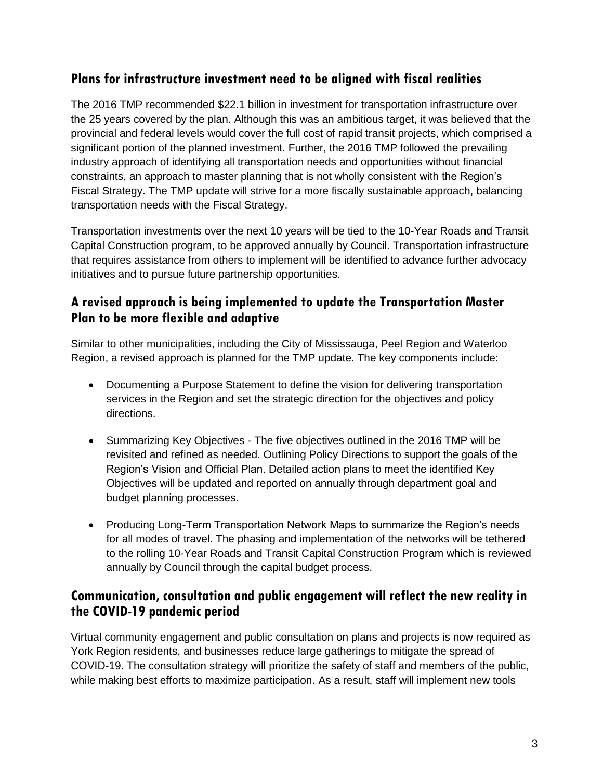#### **Plans for infrastructure investment need to be aligned with fiscal realities**

The 2016 TMP recommended \$22.1 billion in investment for transportation infrastructure over the 25 years covered by the plan. Although this was an ambitious target, it was believed that the provincial and federal levels would cover the full cost of rapid transit projects, which comprised a significant portion of the planned investment. Further, the 2016 TMP followed the prevailing industry approach of identifying all transportation needs and opportunities without financial constraints, an approach to master planning that is not wholly consistent with the Region's Fiscal Strategy. The TMP update will strive for a more fiscally sustainable approach, balancing transportation needs with the Fiscal Strategy.

Transportation investments over the next 10 years will be tied to the 10-Year Roads and Transit Capital Construction program, to be approved annually by Council. Transportation infrastructure that requires assistance from others to implement will be identified to advance further advocacy initiatives and to pursue future partnership opportunities.

#### **A revised approach is being implemented to update the Transportation Master Plan to be more flexible and adaptive**

Similar to other municipalities, including the City of Mississauga, Peel Region and Waterloo Region, a revised approach is planned for the TMP update. The key components include:

- Documenting a Purpose Statement to define the vision for delivering transportation services in the Region and set the strategic direction for the objectives and policy directions.
- Summarizing Key Objectives The five objectives outlined in the 2016 TMP will be revisited and refined as needed. Outlining Policy Directions to support the goals of the Region's Vision and Official Plan. Detailed action plans to meet the identified Key Objectives will be updated and reported on annually through department goal and budget planning processes.
- Producing Long-Term Transportation Network Maps to summarize the Region's needs for all modes of travel. The phasing and implementation of the networks will be tethered to the rolling 10-Year Roads and Transit Capital Construction Program which is reviewed annually by Council through the capital budget process.

#### **Communication, consultation and public engagement will reflect the new reality in the COVID-19 pandemic period**

Virtual community engagement and public consultation on plans and projects is now required as York Region residents, and businesses reduce large gatherings to mitigate the spread of COVID-19. The consultation strategy will prioritize the safety of staff and members of the public, while making best efforts to maximize participation. As a result, staff will implement new tools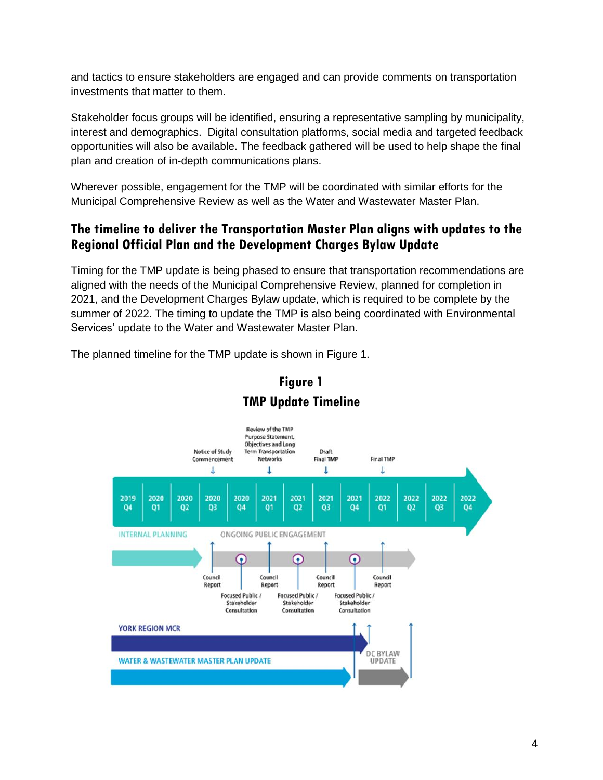and tactics to ensure stakeholders are engaged and can provide comments on transportation investments that matter to them.

Stakeholder focus groups will be identified, ensuring a representative sampling by municipality, interest and demographics. Digital consultation platforms, social media and targeted feedback opportunities will also be available. The feedback gathered will be used to help shape the final plan and creation of in-depth communications plans.

Wherever possible, engagement for the TMP will be coordinated with similar efforts for the Municipal Comprehensive Review as well as the Water and Wastewater Master Plan.

## **The timeline to deliver the Transportation Master Plan aligns with updates to the Regional Official Plan and the Development Charges Bylaw Update**

Timing for the TMP update is being phased to ensure that transportation recommendations are aligned with the needs of the Municipal Comprehensive Review, planned for completion in 2021, and the Development Charges Bylaw update, which is required to be complete by the summer of 2022. The timing to update the TMP is also being coordinated with Environmental Services' update to the Water and Wastewater Master Plan.

The planned timeline for the TMP update is shown in Figure 1.



# **Figure 1 TMP Update Timeline**